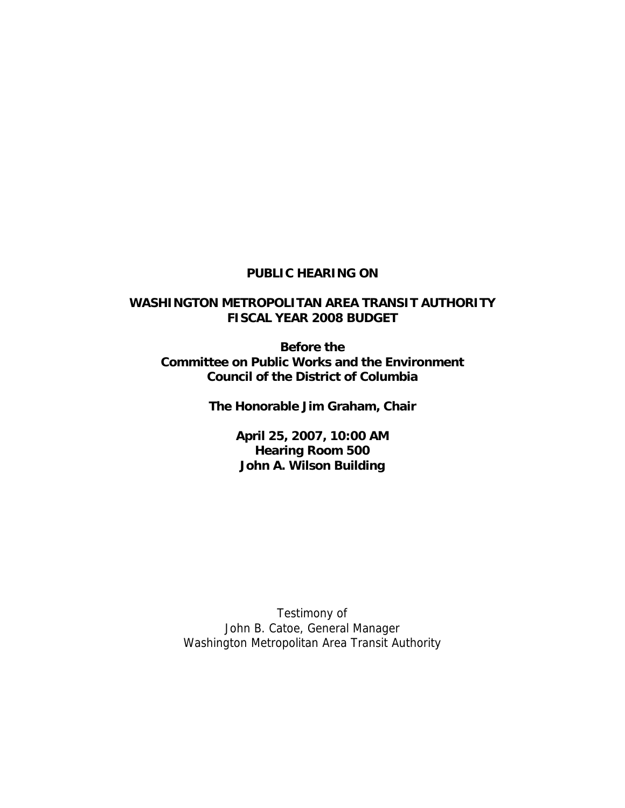### **PUBLIC HEARING ON**

## **WASHINGTON METROPOLITAN AREA TRANSIT AUTHORITY FISCAL YEAR 2008 BUDGET**

**Before the Committee on Public Works and the Environment Council of the District of Columbia** 

**The Honorable Jim Graham, Chair** 

**April 25, 2007, 10:00 AM Hearing Room 500 John A. Wilson Building**

Testimony of John B. Catoe, General Manager Washington Metropolitan Area Transit Authority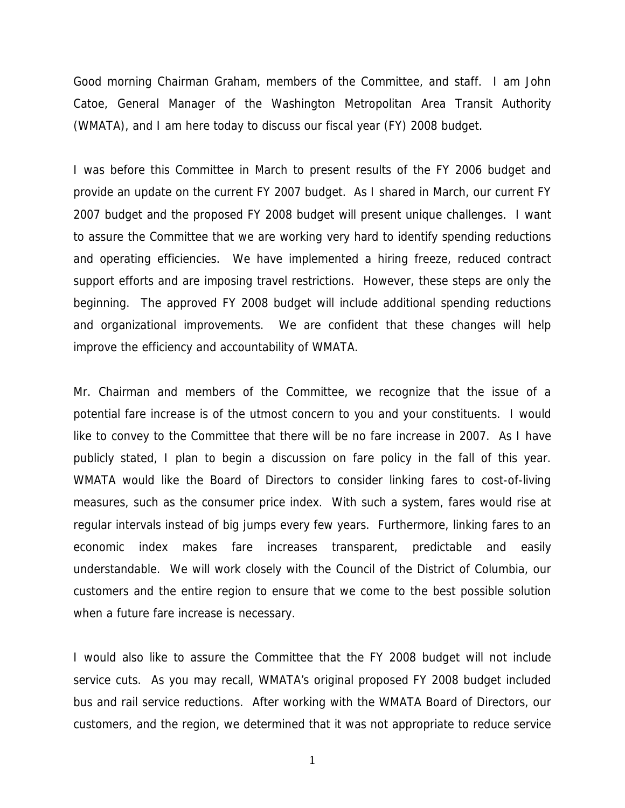Good morning Chairman Graham, members of the Committee, and staff. I am John Catoe, General Manager of the Washington Metropolitan Area Transit Authority (WMATA), and I am here today to discuss our fiscal year (FY) 2008 budget.

I was before this Committee in March to present results of the FY 2006 budget and provide an update on the current FY 2007 budget. As I shared in March, our current FY 2007 budget and the proposed FY 2008 budget will present unique challenges. I want to assure the Committee that we are working very hard to identify spending reductions and operating efficiencies. We have implemented a hiring freeze, reduced contract support efforts and are imposing travel restrictions. However, these steps are only the beginning. The approved FY 2008 budget will include additional spending reductions and organizational improvements. We are confident that these changes will help improve the efficiency and accountability of WMATA.

Mr. Chairman and members of the Committee, we recognize that the issue of a potential fare increase is of the utmost concern to you and your constituents. I would like to convey to the Committee that there will be no fare increase in 2007. As I have publicly stated, I plan to begin a discussion on fare policy in the fall of this year. WMATA would like the Board of Directors to consider linking fares to cost-of-living measures, such as the consumer price index. With such a system, fares would rise at regular intervals instead of big jumps every few years. Furthermore, linking fares to an economic index makes fare increases transparent, predictable and easily understandable. We will work closely with the Council of the District of Columbia, our customers and the entire region to ensure that we come to the best possible solution when a future fare increase is necessary.

I would also like to assure the Committee that the FY 2008 budget will not include service cuts. As you may recall, WMATA's original proposed FY 2008 budget included bus and rail service reductions. After working with the WMATA Board of Directors, our customers, and the region, we determined that it was not appropriate to reduce service

1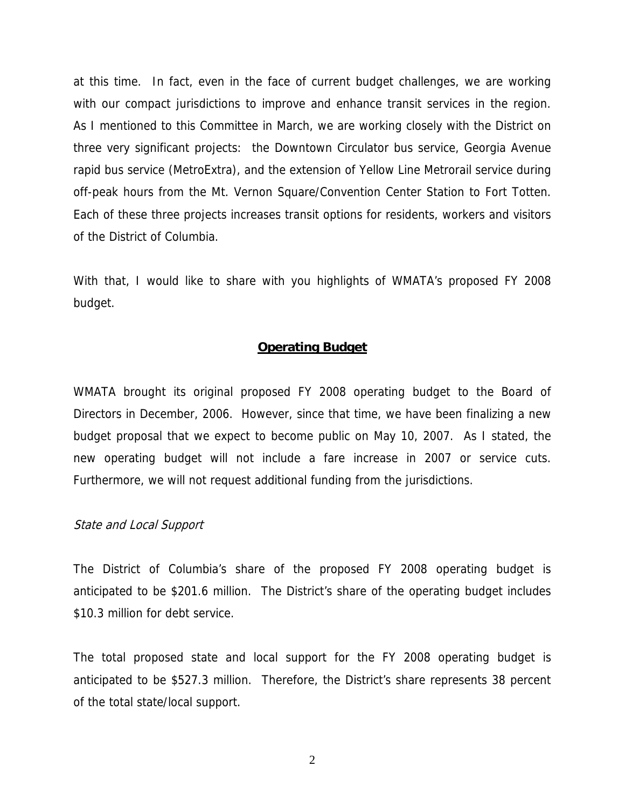at this time. In fact, even in the face of current budget challenges, we are working with our compact jurisdictions to improve and enhance transit services in the region. As I mentioned to this Committee in March, we are working closely with the District on three very significant projects: the Downtown Circulator bus service, Georgia Avenue rapid bus service (MetroExtra), and the extension of Yellow Line Metrorail service during off-peak hours from the Mt. Vernon Square/Convention Center Station to Fort Totten. Each of these three projects increases transit options for residents, workers and visitors of the District of Columbia.

With that, I would like to share with you highlights of WMATA's proposed FY 2008 budget.

#### **Operating Budget**

WMATA brought its original proposed FY 2008 operating budget to the Board of Directors in December, 2006. However, since that time, we have been finalizing a new budget proposal that we expect to become public on May 10, 2007. As I stated, the new operating budget will not include a fare increase in 2007 or service cuts. Furthermore, we will not request additional funding from the jurisdictions.

#### State and Local Support

The District of Columbia's share of the proposed FY 2008 operating budget is anticipated to be \$201.6 million. The District's share of the operating budget includes \$10.3 million for debt service.

The total proposed state and local support for the FY 2008 operating budget is anticipated to be \$527.3 million. Therefore, the District's share represents 38 percent of the total state/local support.

2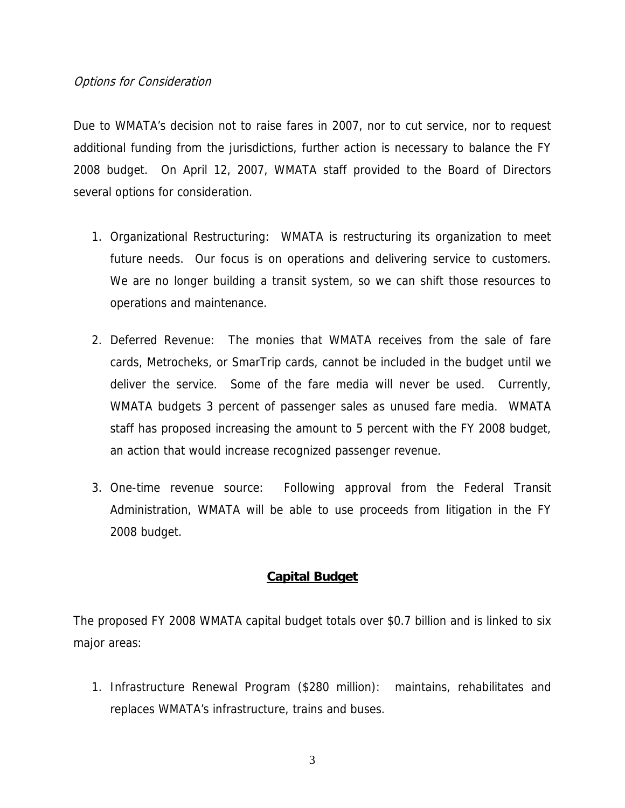### Options for Consideration

Due to WMATA's decision not to raise fares in 2007, nor to cut service, nor to request additional funding from the jurisdictions, further action is necessary to balance the FY 2008 budget. On April 12, 2007, WMATA staff provided to the Board of Directors several options for consideration.

- 1. Organizational Restructuring: WMATA is restructuring its organization to meet future needs. Our focus is on operations and delivering service to customers. We are no longer building a transit system, so we can shift those resources to operations and maintenance.
- 2. Deferred Revenue: The monies that WMATA receives from the sale of fare cards, Metrocheks, or SmarTrip cards, cannot be included in the budget until we deliver the service. Some of the fare media will never be used. Currently, WMATA budgets 3 percent of passenger sales as unused fare media. WMATA staff has proposed increasing the amount to 5 percent with the FY 2008 budget, an action that would increase recognized passenger revenue.
- 3. One-time revenue source: Following approval from the Federal Transit Administration, WMATA will be able to use proceeds from litigation in the FY 2008 budget.

# **Capital Budget**

The proposed FY 2008 WMATA capital budget totals over \$0.7 billion and is linked to six major areas:

1. Infrastructure Renewal Program (\$280 million): maintains, rehabilitates and replaces WMATA's infrastructure, trains and buses.

3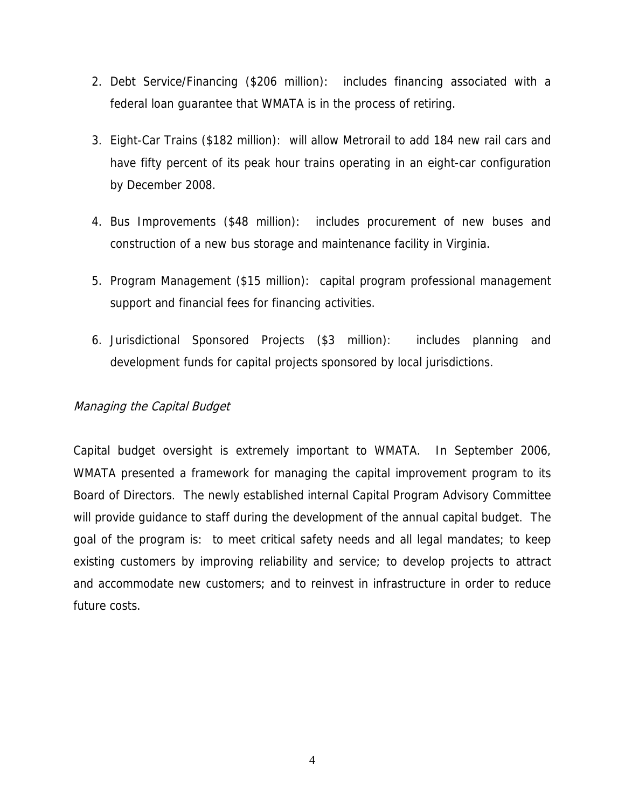- 2. Debt Service/Financing (\$206 million): includes financing associated with a federal loan guarantee that WMATA is in the process of retiring.
- 3. Eight-Car Trains (\$182 million): will allow Metrorail to add 184 new rail cars and have fifty percent of its peak hour trains operating in an eight-car configuration by December 2008.
- 4. Bus Improvements (\$48 million): includes procurement of new buses and construction of a new bus storage and maintenance facility in Virginia.
- 5. Program Management (\$15 million): capital program professional management support and financial fees for financing activities.
- 6. Jurisdictional Sponsored Projects (\$3 million): includes planning and development funds for capital projects sponsored by local jurisdictions.

# Managing the Capital Budget

Capital budget oversight is extremely important to WMATA. In September 2006, WMATA presented a framework for managing the capital improvement program to its Board of Directors. The newly established internal Capital Program Advisory Committee will provide guidance to staff during the development of the annual capital budget. The goal of the program is: to meet critical safety needs and all legal mandates; to keep existing customers by improving reliability and service; to develop projects to attract and accommodate new customers; and to reinvest in infrastructure in order to reduce future costs.